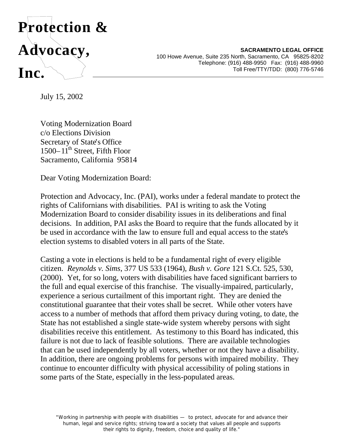

**SACRAMENTO LEGAL OFFICE** 100 Howe Avenue, Suite 235 North, Sacramento, CA 95825-8202 Telephone: (916) 488-9950 Fax: (916) 488-9960 Toll Free/TTY/TDD: (800) 776-5746

July 15, 2002

Voting Modernization Board c/o Elections Division Secretary of State's Office  $1500 - 11$ <sup>th</sup> Street, Fifth Floor Sacramento, California 95814

Dear Voting Modernization Board:

Protection and Advocacy, Inc. (PAI), works under a federal mandate to protect the rights of Californians with disabilities. PAI is writing to ask the Voting Modernization Board to consider disability issues in its deliberations and final decisions. In addition, PAI asks the Board to require that the funds allocated by it be used in accordance with the law to ensure full and equal access to the state's election systems to disabled voters in all parts of the State.

Casting a vote in elections is held to be a fundamental right of every eligible citizen. *Reynolds v. Sims*, 377 US 533 (1964), *Bush v. Gore* 121 S.Ct. 525, 530, (2000). Yet, for so long, voters with disabilities have faced significant barriers to the full and equal exercise of this franchise. The visually-impaired, particularly, experience a serious curtailment of this important right. They are denied the constitutional guarantee that their votes shall be secret. While other voters have access to a number of methods that afford them privacy during voting, to date, the State has not established a single state-wide system whereby persons with sight disabilities receive this entitlement. As testimony to this Board has indicated, this failure is not due to lack of feasible solutions. There are available technologies that can be used independently by all voters, whether or not they have a disability. In addition, there are ongoing problems for persons with impaired mobility. They continue to encounter difficulty with physical accessibility of poling stations in some parts of the State, especially in the less-populated areas.

"Working in partnership with people with disabilities — to protect, advocate for and advance their human, legal and service rights; striving toward a society that values all people and supports their rights to dignity, freedom, choice and quality of life."